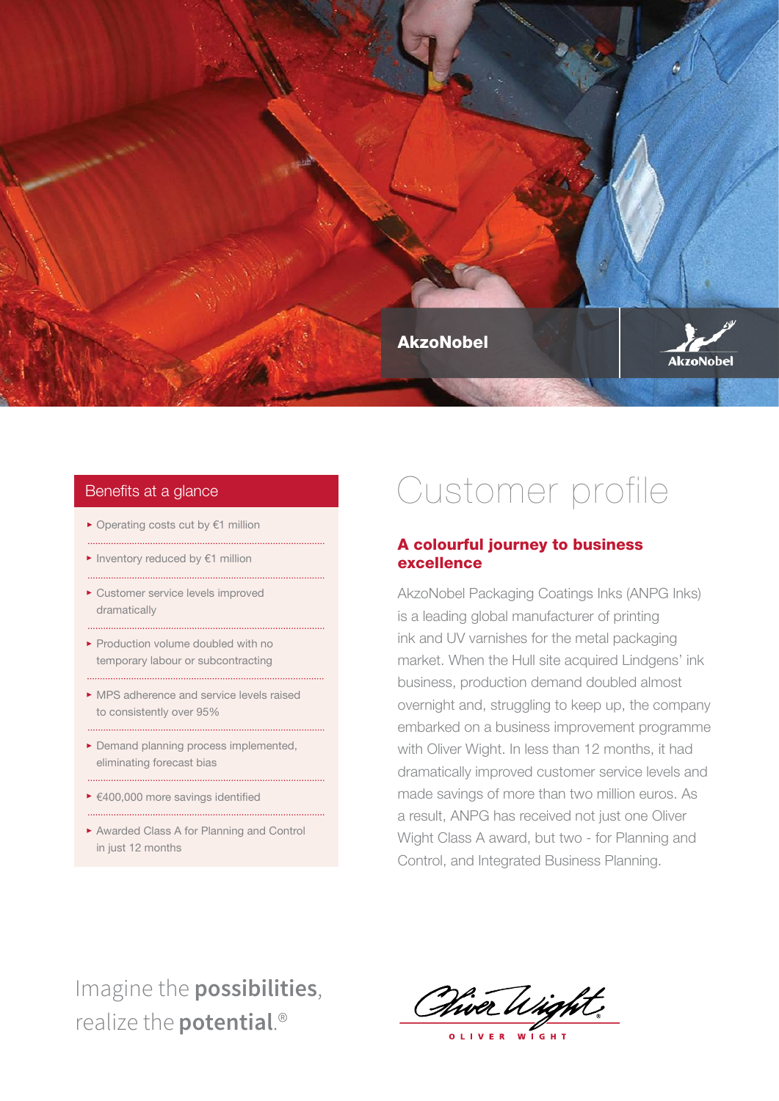

▶ Operating costs cut by €1 million

- ► Inventory reduced by €1 million
- Customer service levels improved dramatically
- Production volume doubled with no temporary labour or subcontracting

MPS adherence and service levels raised to consistently over 95%

Demand planning process implemented, eliminating forecast bias

- €400,000 more savings identified
- Awarded Class A for Planning and Control in just 12 months

# Benefits at a glance **Benefits at a glance Customer** profile

### A colourful journey to business excellence

AkzoNobel Packaging Coatings Inks (ANPG Inks) is a leading global manufacturer of printing ink and UV varnishes for the metal packaging market. When the Hull site acquired Lindgens' ink business, production demand doubled almost overnight and, struggling to keep up, the company embarked on a business improvement programme with Oliver Wight. In less than 12 months, it had dramatically improved customer service levels and made savings of more than two million euros. As a result, ANPG has received not just one Oliver Wight Class A award, but two - for Planning and Control, and Integrated Business Planning.

## Imagine the **possibilities**, realize the **potential**.®

Piver Wight

OLIVER WIGHT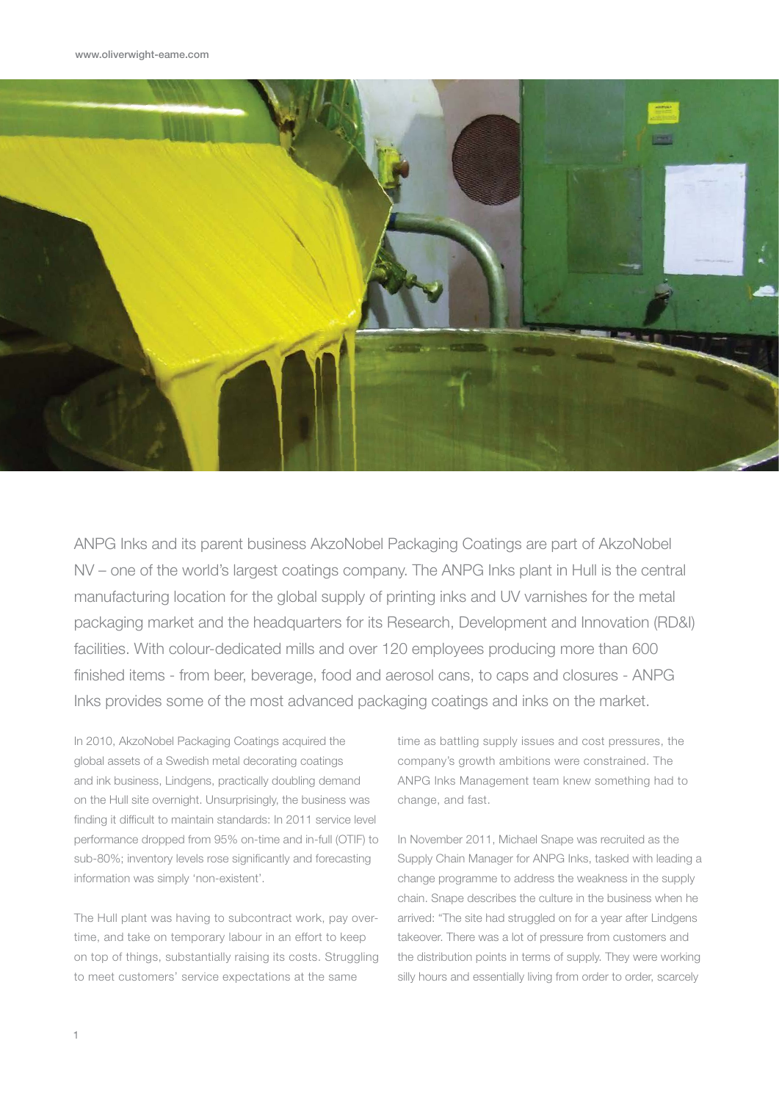

ANPG Inks and its parent business AkzoNobel Packaging Coatings are part of AkzoNobel NV – one of the world's largest coatings company. The ANPG Inks plant in Hull is the central manufacturing location for the global supply of printing inks and UV varnishes for the metal packaging market and the headquarters for its Research, Development and Innovation (RD&I) facilities. With colour-dedicated mills and over 120 employees producing more than 600 finished items - from beer, beverage, food and aerosol cans, to caps and closures - ANPG Inks provides some of the most advanced packaging coatings and inks on the market.

In 2010, AkzoNobel Packaging Coatings acquired the global assets of a Swedish metal decorating coatings and ink business, Lindgens, practically doubling demand on the Hull site overnight. Unsurprisingly, the business was finding it difficult to maintain standards: In 2011 service level performance dropped from 95% on-time and in-full (OTIF) to sub-80%; inventory levels rose significantly and forecasting information was simply 'non-existent'.

The Hull plant was having to subcontract work, pay overtime, and take on temporary labour in an effort to keep on top of things, substantially raising its costs. Struggling to meet customers' service expectations at the same

time as battling supply issues and cost pressures, the company's growth ambitions were constrained. The ANPG Inks Management team knew something had to change, and fast.

In November 2011, Michael Snape was recruited as the Supply Chain Manager for ANPG Inks, tasked with leading a change programme to address the weakness in the supply chain. Snape describes the culture in the business when he arrived: "The site had struggled on for a year after Lindgens takeover. There was a lot of pressure from customers and the distribution points in terms of supply. They were working silly hours and essentially living from order to order, scarcely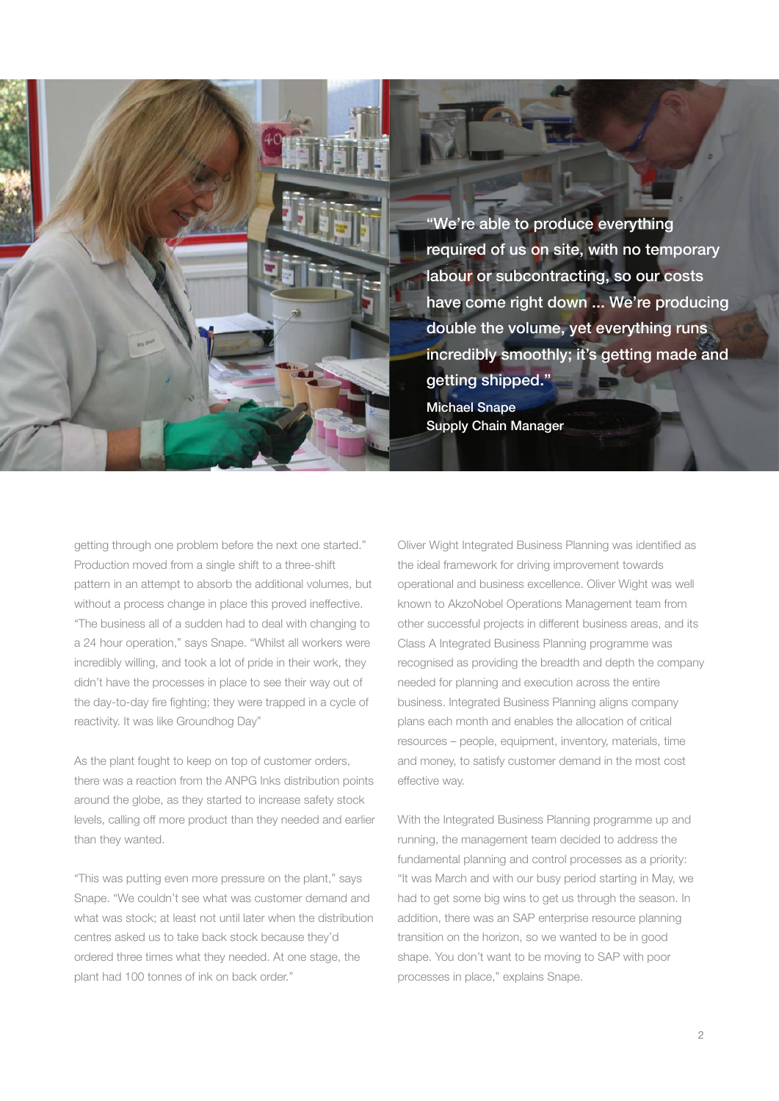"We're able to produce everything required of us on site, with no temporary labour or subcontracting, so our costs have come right down ... We're producing double the volume, yet everything runs incredibly smoothly; it's getting made and getting shipped."

Michael Snape Supply Chain Manager

getting through one problem before the next one started." Production moved from a single shift to a three-shift pattern in an attempt to absorb the additional volumes, but without a process change in place this proved ineffective. "The business all of a sudden had to deal with changing to a 24 hour operation," says Snape. "Whilst all workers were incredibly willing, and took a lot of pride in their work, they didn't have the processes in place to see their way out of the day-to-day fire fighting; they were trapped in a cycle of reactivity. It was like Groundhog Day"

As the plant fought to keep on top of customer orders, there was a reaction from the ANPG Inks distribution points around the globe, as they started to increase safety stock levels, calling off more product than they needed and earlier than they wanted.

"This was putting even more pressure on the plant," says Snape. "We couldn't see what was customer demand and what was stock; at least not until later when the distribution centres asked us to take back stock because they'd ordered three times what they needed. At one stage, the plant had 100 tonnes of ink on back order."

Oliver Wight Integrated Business Planning was identified as the ideal framework for driving improvement towards operational and business excellence. Oliver Wight was well known to AkzoNobel Operations Management team from other successful projects in different business areas, and its Class A Integrated Business Planning programme was recognised as providing the breadth and depth the company needed for planning and execution across the entire business. Integrated Business Planning aligns company plans each month and enables the allocation of critical resources – people, equipment, inventory, materials, time and money, to satisfy customer demand in the most cost effective way.

With the Integrated Business Planning programme up and running, the management team decided to address the fundamental planning and control processes as a priority: "It was March and with our busy period starting in May, we had to get some big wins to get us through the season. In addition, there was an SAP enterprise resource planning transition on the horizon, so we wanted to be in good shape. You don't want to be moving to SAP with poor processes in place," explains Snape.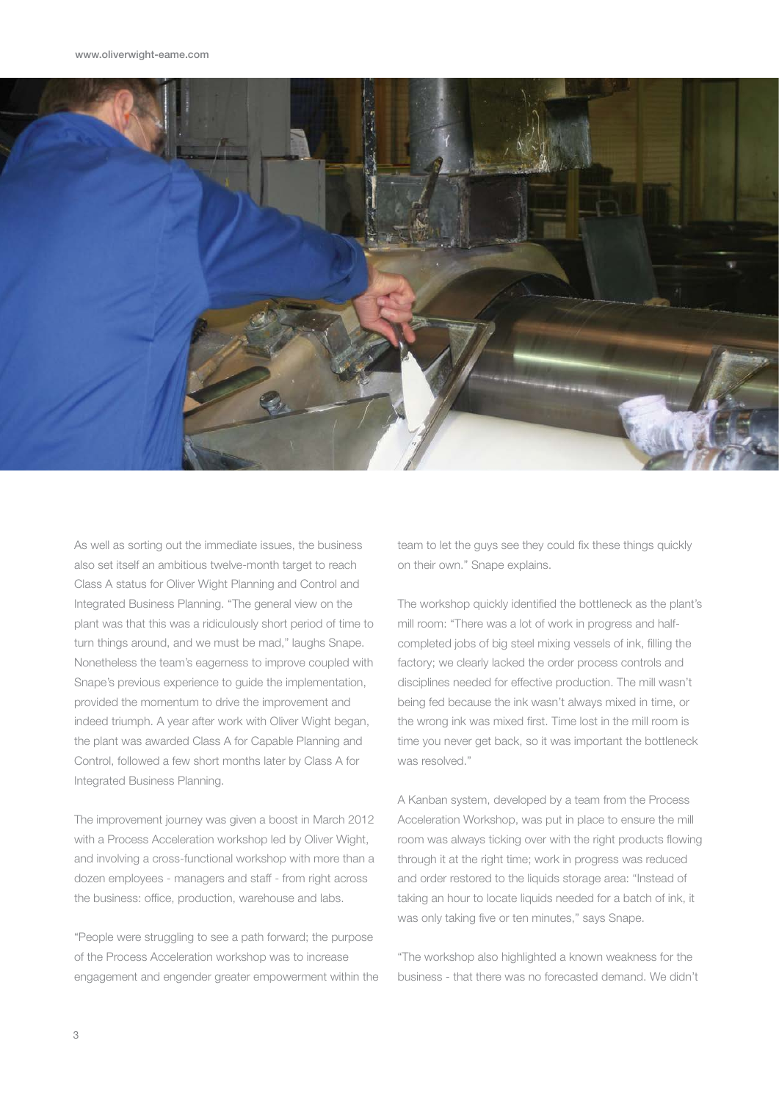

As well as sorting out the immediate issues, the business also set itself an ambitious twelve-month target to reach Class A status for Oliver Wight Planning and Control and Integrated Business Planning. "The general view on the plant was that this was a ridiculously short period of time to turn things around, and we must be mad," laughs Snape. Nonetheless the team's eagerness to improve coupled with Snape's previous experience to guide the implementation, provided the momentum to drive the improvement and indeed triumph. A year after work with Oliver Wight began, the plant was awarded Class A for Capable Planning and Control, followed a few short months later by Class A for Integrated Business Planning.

The improvement journey was given a boost in March 2012 with a Process Acceleration workshop led by Oliver Wight, and involving a cross-functional workshop with more than a dozen employees - managers and staff - from right across the business: office, production, warehouse and labs.

"People were struggling to see a path forward; the purpose of the Process Acceleration workshop was to increase engagement and engender greater empowerment within the team to let the guys see they could fix these things quickly on their own." Snape explains.

The workshop quickly identified the bottleneck as the plant's mill room: "There was a lot of work in progress and halfcompleted jobs of big steel mixing vessels of ink, filling the factory; we clearly lacked the order process controls and disciplines needed for effective production. The mill wasn't being fed because the ink wasn't always mixed in time, or the wrong ink was mixed first. Time lost in the mill room is time you never get back, so it was important the bottleneck was resolved."

A Kanban system, developed by a team from the Process Acceleration Workshop, was put in place to ensure the mill room was always ticking over with the right products flowing through it at the right time; work in progress was reduced and order restored to the liquids storage area: "Instead of taking an hour to locate liquids needed for a batch of ink, it was only taking five or ten minutes," says Snape.

"The workshop also highlighted a known weakness for the business - that there was no forecasted demand. We didn't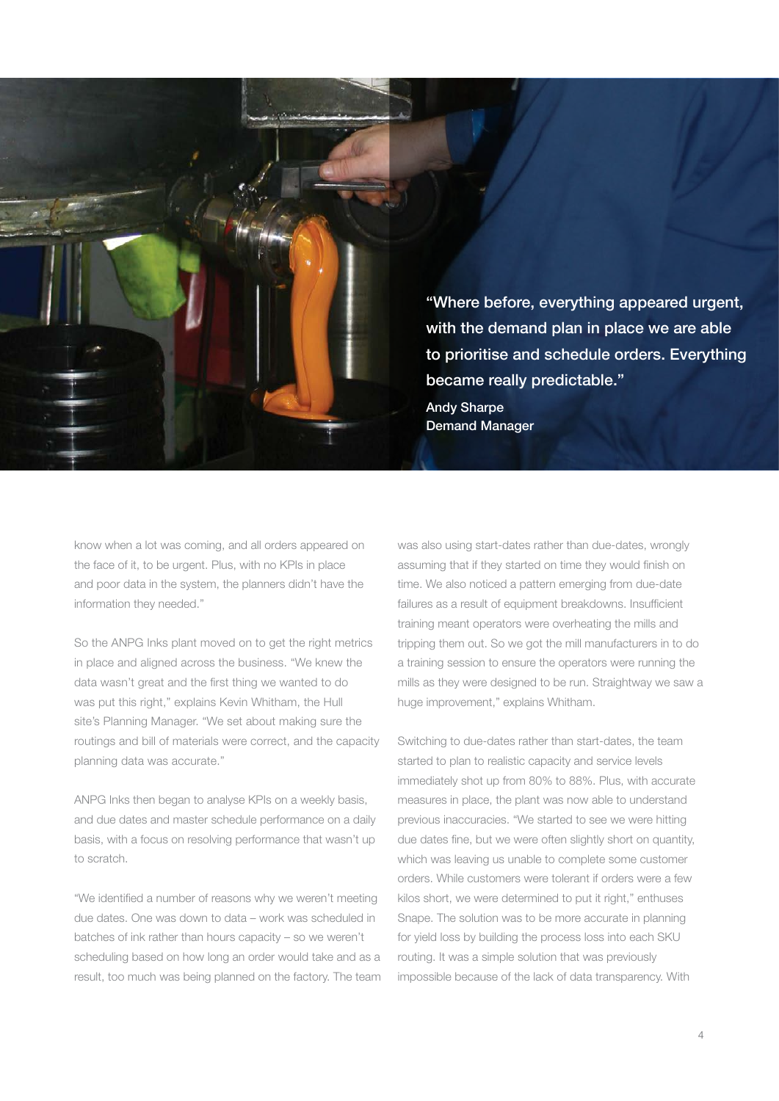"Where before, everything appeared urgent, with the demand plan in place we are able to prioritise and schedule orders. Everything became really predictable." Andy Sharpe Demand Manager

know when a lot was coming, and all orders appeared on the face of it, to be urgent. Plus, with no KPIs in place and poor data in the system, the planners didn't have the information they needed."

So the ANPG Inks plant moved on to get the right metrics in place and aligned across the business. "We knew the data wasn't great and the first thing we wanted to do was put this right," explains Kevin Whitham, the Hull site's Planning Manager. "We set about making sure the routings and bill of materials were correct, and the capacity planning data was accurate."

ANPG Inks then began to analyse KPIs on a weekly basis, and due dates and master schedule performance on a daily basis, with a focus on resolving performance that wasn't up to scratch.

"We identified a number of reasons why we weren't meeting due dates. One was down to data – work was scheduled in batches of ink rather than hours capacity – so we weren't scheduling based on how long an order would take and as a result, too much was being planned on the factory. The team was also using start-dates rather than due-dates, wrongly assuming that if they started on time they would finish on time. We also noticed a pattern emerging from due-date failures as a result of equipment breakdowns. Insufficient training meant operators were overheating the mills and tripping them out. So we got the mill manufacturers in to do a training session to ensure the operators were running the mills as they were designed to be run. Straightway we saw a huge improvement," explains Whitham.

Switching to due-dates rather than start-dates, the team started to plan to realistic capacity and service levels immediately shot up from 80% to 88%. Plus, with accurate measures in place, the plant was now able to understand previous inaccuracies. "We started to see we were hitting due dates fine, but we were often slightly short on quantity, which was leaving us unable to complete some customer orders. While customers were tolerant if orders were a few kilos short, we were determined to put it right," enthuses Snape. The solution was to be more accurate in planning for yield loss by building the process loss into each SKU routing. It was a simple solution that was previously impossible because of the lack of data transparency. With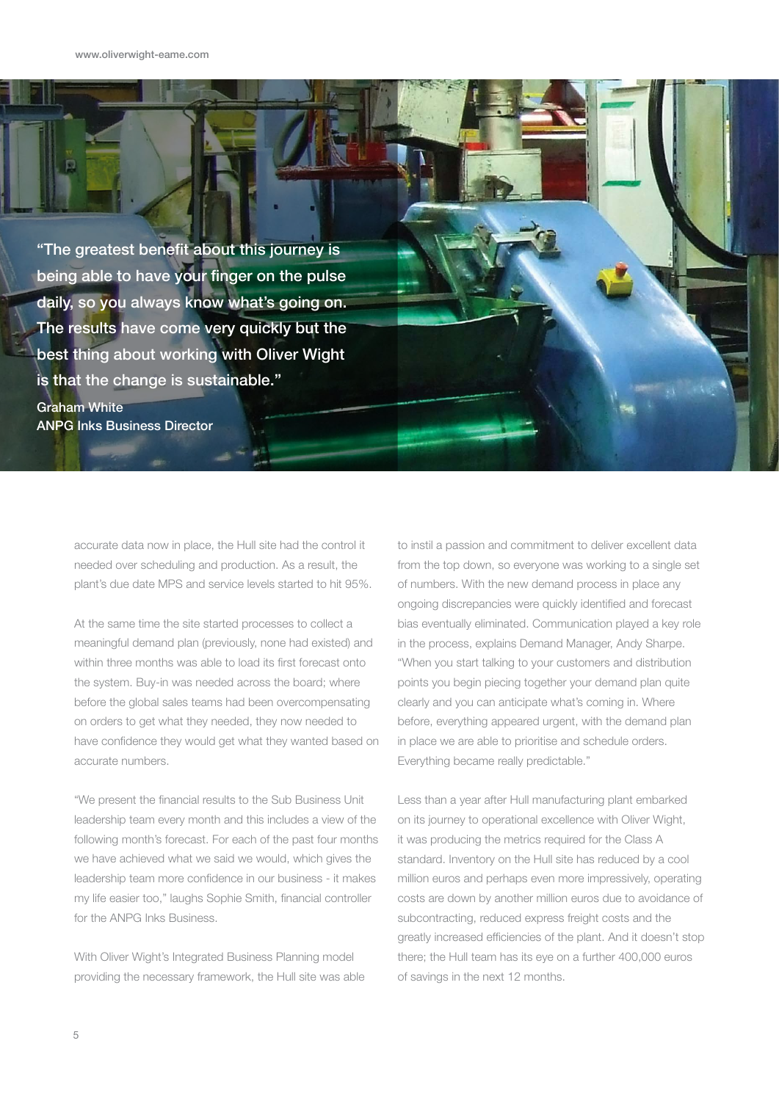p

"The greatest benefit about this journey is being able to have your finger on the pulse daily, so you always know what's going on. The results have come very quickly but the best thing about working with Oliver Wight is that the change is sustainable." Graham White

ANPG Inks Business Director

accurate data now in place, the Hull site had the control it needed over scheduling and production. As a result, the plant's due date MPS and service levels started to hit 95%.

At the same time the site started processes to collect a meaningful demand plan (previously, none had existed) and within three months was able to load its first forecast onto the system. Buy-in was needed across the board; where before the global sales teams had been overcompensating on orders to get what they needed, they now needed to have confidence they would get what they wanted based on accurate numbers.

"We present the financial results to the Sub Business Unit leadership team every month and this includes a view of the following month's forecast. For each of the past four months we have achieved what we said we would, which gives the leadership team more confidence in our business - it makes my life easier too," laughs Sophie Smith, financial controller for the ANPG Inks Business.

With Oliver Wight's Integrated Business Planning model providing the necessary framework, the Hull site was able to instil a passion and commitment to deliver excellent data from the top down, so everyone was working to a single set of numbers. With the new demand process in place any ongoing discrepancies were quickly identified and forecast bias eventually eliminated. Communication played a key role in the process, explains Demand Manager, Andy Sharpe. "When you start talking to your customers and distribution points you begin piecing together your demand plan quite clearly and you can anticipate what's coming in. Where before, everything appeared urgent, with the demand plan in place we are able to prioritise and schedule orders. Everything became really predictable."

Less than a year after Hull manufacturing plant embarked on its journey to operational excellence with Oliver Wight, it was producing the metrics required for the Class A standard. Inventory on the Hull site has reduced by a cool million euros and perhaps even more impressively, operating costs are down by another million euros due to avoidance of subcontracting, reduced express freight costs and the greatly increased efficiencies of the plant. And it doesn't stop there; the Hull team has its eye on a further 400,000 euros of savings in the next 12 months.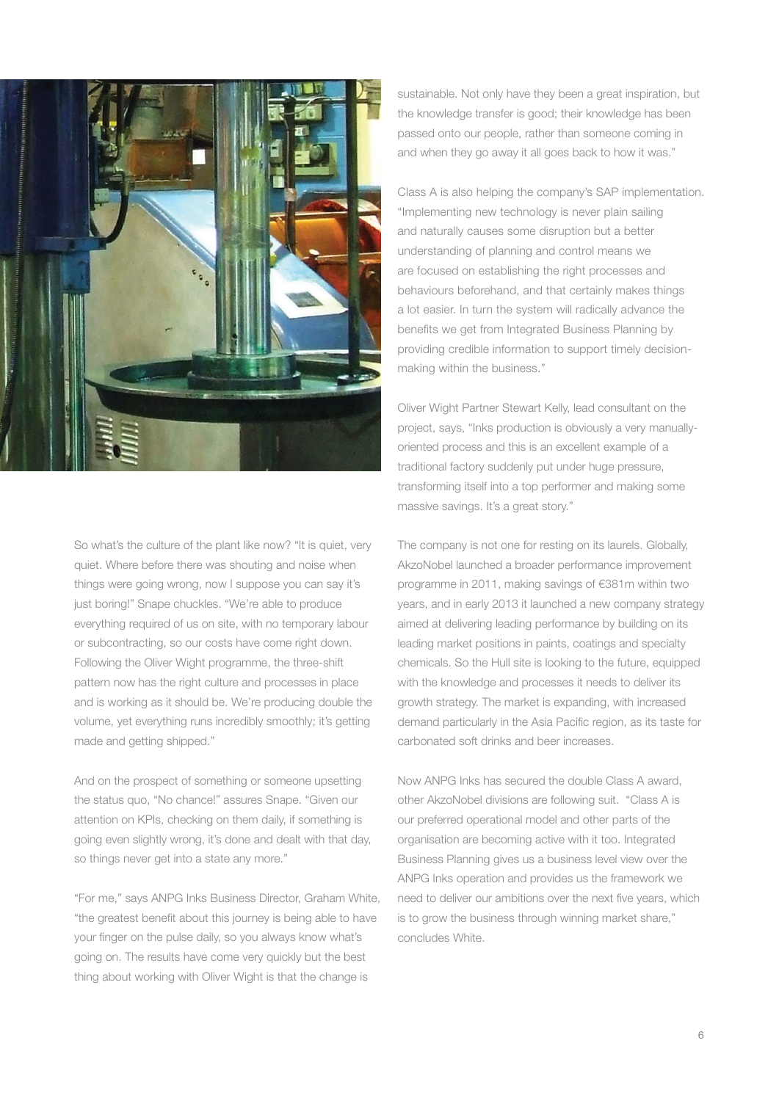

So what's the culture of the plant like now? "It is quiet, very quiet. Where before there was shouting and noise when things were going wrong, now I suppose you can say it's just boring!" Snape chuckles. "We're able to produce everything required of us on site, with no temporary labour or subcontracting, so our costs have come right down. Following the Oliver Wight programme, the three-shift pattern now has the right culture and processes in place and is working as it should be. We're producing double the volume, yet everything runs incredibly smoothly; it's getting made and getting shipped."

And on the prospect of something or someone upsetting the status quo, "No chance!" assures Snape. "Given our attention on KPIs, checking on them daily, if something is going even slightly wrong, it's done and dealt with that day, so things never get into a state any more."

"For me," says ANPG Inks Business Director, Graham White, "the greatest benefit about this journey is being able to have your finger on the pulse daily, so you always know what's going on. The results have come very quickly but the best thing about working with Oliver Wight is that the change is

sustainable. Not only have they been a great inspiration, but the knowledge transfer is good; their knowledge has been passed onto our people, rather than someone coming in and when they go away it all goes back to how it was."

Class A is also helping the company's SAP implementation. "Implementing new technology is never plain sailing and naturally causes some disruption but a better understanding of planning and control means we are focused on establishing the right processes and behaviours beforehand, and that certainly makes things a lot easier. In turn the system will radically advance the benefits we get from Integrated Business Planning by providing credible information to support timely decisionmaking within the business."

Oliver Wight Partner Stewart Kelly, lead consultant on the project, says, "Inks production is obviously a very manuallyoriented process and this is an excellent example of a traditional factory suddenly put under huge pressure, transforming itself into a top performer and making some massive savings. It's a great story."

The company is not one for resting on its laurels. Globally, AkzoNobel launched a broader performance improvement programme in 2011, making savings of €381m within two years, and in early 2013 it launched a new company strategy aimed at delivering leading performance by building on its leading market positions in paints, coatings and specialty chemicals. So the Hull site is looking to the future, equipped with the knowledge and processes it needs to deliver its growth strategy. The market is expanding, with increased demand particularly in the Asia Pacific region, as its taste for carbonated soft drinks and beer increases.

Now ANPG Inks has secured the double Class A award, other AkzoNobel divisions are following suit. "Class A is our preferred operational model and other parts of the organisation are becoming active with it too. Integrated Business Planning gives us a business level view over the ANPG Inks operation and provides us the framework we need to deliver our ambitions over the next five years, which is to grow the business through winning market share," concludes White.